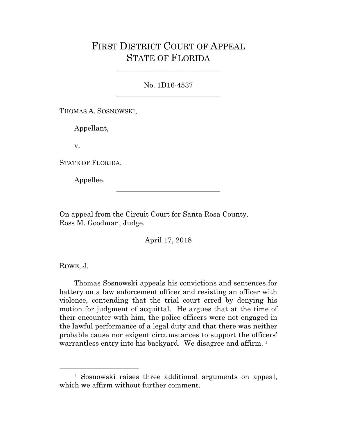## FIRST DISTRICT COURT OF APPEAL STATE OF FLORIDA

No. 1D16-4537 \_\_\_\_\_\_\_\_\_\_\_\_\_\_\_\_\_\_\_\_\_\_\_\_\_\_\_\_\_

\_\_\_\_\_\_\_\_\_\_\_\_\_\_\_\_\_\_\_\_\_\_\_\_\_\_\_\_\_

THOMAS A. SOSNOWSKI,

Appellant,

v.

STATE OF FLORIDA,

Appellee.

On appeal from the Circuit Court for Santa Rosa County. Ross M. Goodman, Judge.

April 17, 2018

\_\_\_\_\_\_\_\_\_\_\_\_\_\_\_\_\_\_\_\_\_\_\_\_\_\_\_\_\_

ROWE, J.

Thomas Sosnowski appeals his convictions and sentences for battery on a law enforcement officer and resisting an officer with violence, contending that the trial court erred by denying his motion for judgment of acquittal. He argues that at the time of their encounter with him, the police officers were not engaged in the lawful performance of a legal duty and that there was neither probable cause nor exigent circumstances to support the officers' warrantless entry into his backyard. We disagree and affirm. [1](#page-0-0)

<span id="page-0-0"></span> <sup>1</sup> Sosnowski raises three additional arguments on appeal, which we affirm without further comment.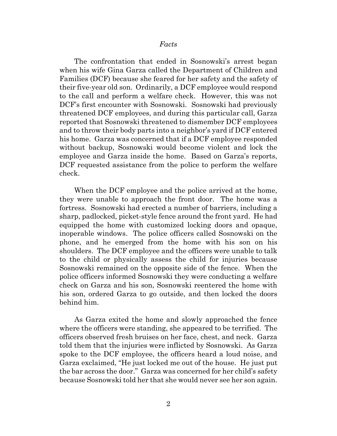## *Facts*

The confrontation that ended in Sosnowski's arrest began when his wife Gina Garza called the Department of Children and Families (DCF) because she feared for her safety and the safety of their five-year old son. Ordinarily, a DCF employee would respond to the call and perform a welfare check. However, this was not DCF's first encounter with Sosnowski. Sosnowski had previously threatened DCF employees, and during this particular call, Garza reported that Sosnowski threatened to dismember DCF employees and to throw their body parts into a neighbor's yard if DCF entered his home. Garza was concerned that if a DCF employee responded without backup, Sosnowski would become violent and lock the employee and Garza inside the home. Based on Garza's reports, DCF requested assistance from the police to perform the welfare check.

When the DCF employee and the police arrived at the home, they were unable to approach the front door. The home was a fortress. Sosnowski had erected a number of barriers, including a sharp, padlocked, picket-style fence around the front yard. He had equipped the home with customized locking doors and opaque, inoperable windows. The police officers called Sosnowski on the phone, and he emerged from the home with his son on his shoulders. The DCF employee and the officers were unable to talk to the child or physically assess the child for injuries because Sosnowski remained on the opposite side of the fence. When the police officers informed Sosnowski they were conducting a welfare check on Garza and his son, Sosnowski reentered the home with his son, ordered Garza to go outside, and then locked the doors behind him.

As Garza exited the home and slowly approached the fence where the officers were standing, she appeared to be terrified. The officers observed fresh bruises on her face, chest, and neck. Garza told them that the injuries were inflicted by Sosnowski. As Garza spoke to the DCF employee, the officers heard a loud noise, and Garza exclaimed, "He just locked me out of the house. He just put the bar across the door." Garza was concerned for her child's safety because Sosnowski told her that she would never see her son again.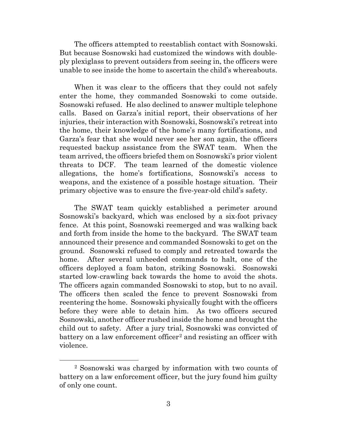The officers attempted to reestablish contact with Sosnowski. But because Sosnowski had customized the windows with doubleply plexiglass to prevent outsiders from seeing in, the officers were unable to see inside the home to ascertain the child's whereabouts.

When it was clear to the officers that they could not safely enter the home, they commanded Sosnowski to come outside. Sosnowski refused. He also declined to answer multiple telephone calls. Based on Garza's initial report, their observations of her injuries, their interaction with Sosnowski, Sosnowski's retreat into the home, their knowledge of the home's many fortifications, and Garza's fear that she would never see her son again, the officers requested backup assistance from the SWAT team. When the team arrived, the officers briefed them on Sosnowski's prior violent threats to DCF. The team learned of the domestic violence allegations, the home's fortifications, Sosnowski's access to weapons, and the existence of a possible hostage situation. Their primary objective was to ensure the five-year-old child's safety.

The SWAT team quickly established a perimeter around Sosnowski's backyard, which was enclosed by a six-foot privacy fence. At this point, Sosnowski reemerged and was walking back and forth from inside the home to the backyard. The SWAT team announced their presence and commanded Sosnowski to get on the ground. Sosnowski refused to comply and retreated towards the home. After several unheeded commands to halt, one of the officers deployed a foam baton, striking Sosnowski. Sosnowski started low-crawling back towards the home to avoid the shots. The officers again commanded Sosnowski to stop, but to no avail. The officers then scaled the fence to prevent Sosnowski from reentering the home. Sosnowski physically fought with the officers before they were able to detain him. As two officers secured Sosnowski, another officer rushed inside the home and brought the child out to safety. After a jury trial, Sosnowski was convicted of battery on a law enforcement officer<sup>[2](#page-2-0)</sup> and resisting an officer with violence.

<span id="page-2-0"></span> <sup>2</sup> Sosnowski was charged by information with two counts of battery on a law enforcement officer, but the jury found him guilty of only one count.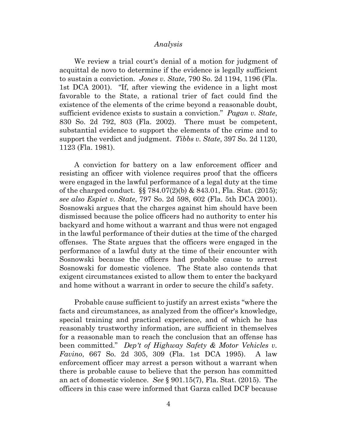## *Analysis*

We review a trial court's denial of a motion for judgment of acquittal de novo to determine if the evidence is legally sufficient to sustain a conviction. *Jones v. State*, 790 So. 2d 1194, 1196 (Fla. 1st DCA 2001). "If, after viewing the evidence in a light most favorable to the State, a rational trier of fact could find the existence of the elements of the crime beyond a reasonable doubt, sufficient evidence exists to sustain a conviction." *Pagan v. State*, 830 So. 2d 792, 803 (Fla. 2002). There must be competent, substantial evidence to support the elements of the crime and to support the verdict and judgment. *Tibbs v. State*, 397 So. 2d 1120, 1123 (Fla. 1981).

A conviction for battery on a law enforcement officer and resisting an officer with violence requires proof that the officers were engaged in the lawful performance of a legal duty at the time of the charged conduct. §§ 784.07(2)(b) & 843.01, Fla. Stat. (2015); *see also Espiet v. State*, 797 So. 2d 598, 602 (Fla. 5th DCA 2001). Sosnowski argues that the charges against him should have been dismissed because the police officers had no authority to enter his backyard and home without a warrant and thus were not engaged in the lawful performance of their duties at the time of the charged offenses. The State argues that the officers were engaged in the performance of a lawful duty at the time of their encounter with Sosnowski because the officers had probable cause to arrest Sosnowski for domestic violence. The State also contends that exigent circumstances existed to allow them to enter the backyard and home without a warrant in order to secure the child's safety.

Probable cause sufficient to justify an arrest exists "where the facts and circumstances, as analyzed from the officer's knowledge, special training and practical experience, and of which he has reasonably trustworthy information, are sufficient in themselves for a reasonable man to reach the conclusion that an offense has been committed." *Dep't of Highway Safety & Motor Vehicles v. Favino*, 667 So. 2d 305, 309 (Fla. 1st DCA 1995). A law enforcement officer may arrest a person without a warrant when there is probable cause to believe that the person has committed an act of domestic violence. *See* § 901.15(7), Fla. Stat. (2015). The officers in this case were informed that Garza called DCF because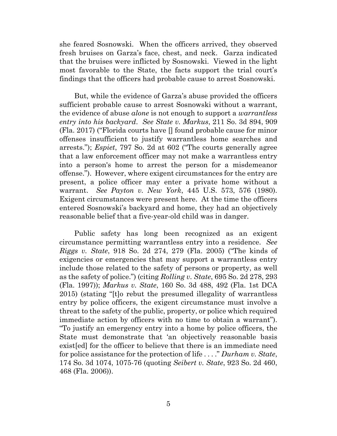she feared Sosnowski. When the officers arrived, they observed fresh bruises on Garza's face, chest, and neck. Garza indicated that the bruises were inflicted by Sosnowski. Viewed in the light most favorable to the State, the facts support the trial court's findings that the officers had probable cause to arrest Sosnowski.

But, while the evidence of Garza's abuse provided the officers sufficient probable cause to arrest Sosnowski without a warrant, the evidence of abuse *alone* is not enough to support a *warrantless entry into his backyard*. *See State v. Markus*, 211 So. 3d 894, 909 (Fla. 2017) ("Florida courts have [] found probable cause for minor offenses insufficient to justify warrantless home searches and arrests."); *Espiet*, 797 So. 2d at 602 ("The courts generally agree that a law enforcement officer may not make a warrantless entry into a person's home to arrest the person for a misdemeanor offense."). However, where exigent circumstances for the entry are present, a police officer may enter a private home without a warrant. *See Payton v. New York*, 445 U.S. 573, 576 (1980). Exigent circumstances were present here. At the time the officers entered Sosnowski's backyard and home, they had an objectively reasonable belief that a five-year-old child was in danger.

Public safety has long been recognized as an exigent circumstance permitting warrantless entry into a residence. *See Riggs v. State*, 918 So. 2d 274, 279 (Fla. 2005) ("The kinds of exigencies or emergencies that may support a warrantless entry include those related to the safety of persons or property, as well as the safety of police.") (citing *Rolling v. State*, 695 So. 2d 278, 293 (Fla. 1997)); *Markus v. State*, 160 So. 3d 488, 492 (Fla. 1st DCA 2015) (stating "[t]o rebut the presumed illegality of warrantless entry by police officers, the exigent circumstance must involve a threat to the safety of the public, property, or police which required immediate action by officers with no time to obtain a warrant"). "To justify an emergency entry into a home by police officers, the State must demonstrate that 'an objectively reasonable basis exist[ed] for the officer to believe that there is an immediate need for police assistance for the protection of life . . . ." *Durham v. State*, 174 So. 3d 1074, 1075-76 (quoting *Seibert v. State*, 923 So. 2d 460, 468 (Fla. 2006)).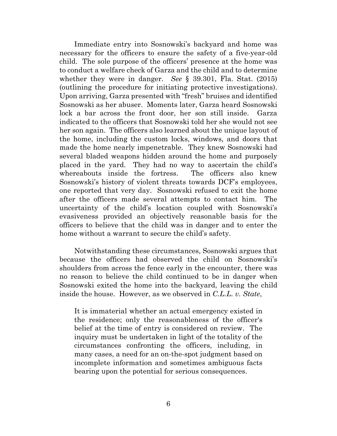Immediate entry into Sosnowski's backyard and home was necessary for the officers to ensure the safety of a five-year-old child. The sole purpose of the officers' presence at the home was to conduct a welfare check of Garza and the child and to determine whether they were in danger. *See* § 39.301, Fla. Stat. (2015) (outlining the procedure for initiating protective investigations). Upon arriving, Garza presented with "fresh" bruises and identified Sosnowski as her abuser. Moments later, Garza heard Sosnowski lock a bar across the front door, her son still inside. Garza indicated to the officers that Sosnowski told her she would not see her son again. The officers also learned about the unique layout of the home, including the custom locks, windows, and doors that made the home nearly impenetrable. They knew Sosnowski had several bladed weapons hidden around the home and purposely placed in the yard. They had no way to ascertain the child's whereabouts inside the fortress. The officers also knew Sosnowski's history of violent threats towards DCF's employees, one reported that very day. Sosnowski refused to exit the home after the officers made several attempts to contact him. The uncertainty of the child's location coupled with Sosnowski's evasiveness provided an objectively reasonable basis for the officers to believe that the child was in danger and to enter the home without a warrant to secure the child's safety.

Notwithstanding these circumstances, Sosnowski argues that because the officers had observed the child on Sosnowski's shoulders from across the fence early in the encounter, there was no reason to believe the child continued to be in danger when Sosnowski exited the home into the backyard, leaving the child inside the house. However, as we observed in *C.L.L. v. State*,

It is immaterial whether an actual emergency existed in the residence; only the reasonableness of the officer's belief at the time of entry is considered on review. The inquiry must be undertaken in light of the totality of the circumstances confronting the officers, including, in many cases, a need for an on-the-spot judgment based on incomplete information and sometimes ambiguous facts bearing upon the potential for serious consequences.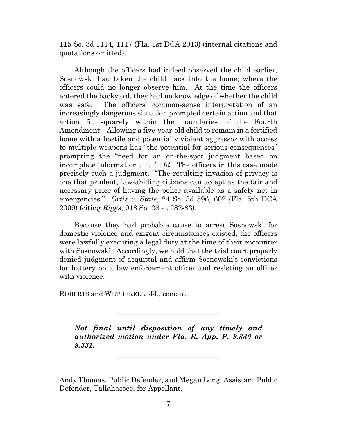115 So. 3d 1114, 1117 (Fla. 1st DCA 2013) (internal citations and quotations omitted).

Although the officers had indeed observed the child earlier, Sosnowski had taken the child back into the home, where the officers could no longer observe him. At the time the officers entered the backyard, they had no knowledge of whether the child was safe. The officers' common-sense interpretation of an increasingly dangerous situation prompted certain action and that action fit squarely within the boundaries of the Fourth Amendment. Allowing a five-year-old child to remain in a fortified home with a hostile and potentially violent aggressor with access to multiple weapons has "the potential for serious consequences" prompting the "need for an on-the-spot judgment based on incomplete information . . . ." *Id.* The officers in this case made precisely such a judgment. "The resulting invasion of privacy is one that prudent, law-abiding citizens can accept as the fair and necessary price of having the police available as a safety net in emergencies." *Ortiz v. State*, 24 So. 3d 596, 602 (Fla. 5th DCA 2009) (citing *Riggs*, 918 So. 2d at 282-83).

Because they had probable cause to arrest Sosnowski for domestic violence and exigent circumstances existed, the officers were lawfully executing a legal duty at the time of their encounter with Sosnowski. Accordingly, we hold that the trial court properly denied judgment of acquittal and affirm Sosnowski's convictions for battery on a law enforcement officer and resisting an officer with violence.

ROBERTS and WETHERELL, JJ., concur.

*Not final until disposition of any timely and authorized motion under Fla. R. App. P. 9.330 or 9.331***.**

\_\_\_\_\_\_\_\_\_\_\_\_\_\_\_\_\_\_\_\_\_\_\_\_\_\_\_\_\_

\_\_\_\_\_\_\_\_\_\_\_\_\_\_\_\_\_\_\_\_\_\_\_\_\_\_\_\_\_

Andy Thomas, Public Defender, and Megan Long, Assistant Public Defender, Tallahassee, for Appellant.